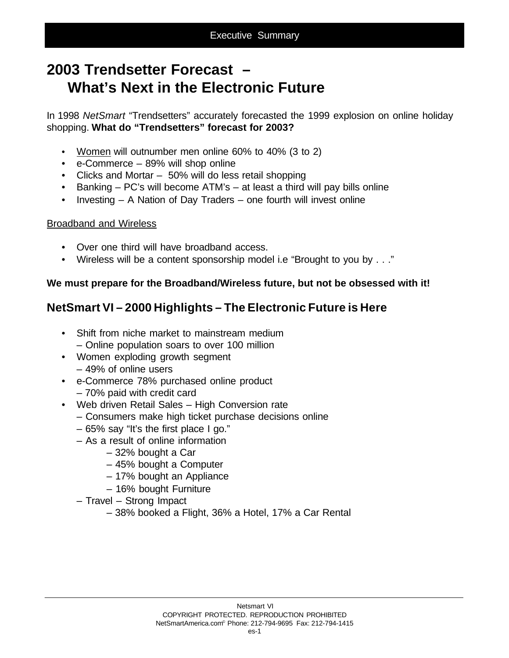# **2003 Trendsetter Forecast – What's Next in the Electronic Future**

In 1998 *NetSmart* "Trendsetters" accurately forecasted the 1999 explosion on online holiday shopping. **What do "Trendsetters" forecast for 2003?**

- Women will outnumber men online 60% to 40% (3 to 2)
- e-Commerce 89% will shop online
- Clicks and Mortar 50% will do less retail shopping
- Banking PC's will become ATM's at least a third will pay bills online
- Investing A Nation of Day Traders one fourth will invest online

#### Broadband and Wireless

- Over one third will have broadband access.
- Wireless will be a content sponsorship model i.e "Brought to you by . . ."

#### **We must prepare for the Broadband/Wireless future, but not be obsessed with it!**

## **NetSmart VI – 2000 Highlights – The Electronic Future is Here**

- Shift from niche market to mainstream medium – Online population soars to over 100 million
- Women exploding growth segment – 49% of online users
- e-Commerce 78% purchased online product
	- 70% paid with credit card
- Web driven Retail Sales High Conversion rate
	- Consumers make high ticket purchase decisions online
	- 65% say "It's the first place I go."
	- As a result of online information
		- 32% bought a Car
		- 45% bought a Computer
		- 17% bought an Appliance
		- 16% bought Furniture
	- Travel Strong Impact
		- 38% booked a Flight, 36% a Hotel, 17% a Car Rental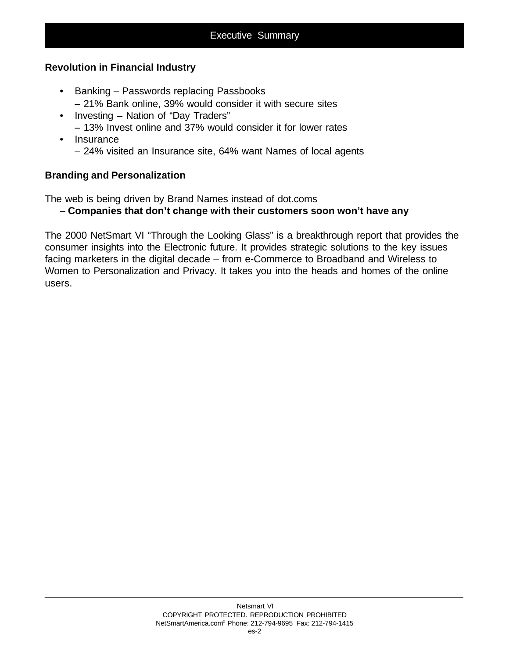#### **Revolution in Financial Industry**

- Banking Passwords replacing Passbooks
	- 21% Bank online, 39% would consider it with secure sites
- Investing Nation of "Day Traders" – 13% Invest online and 37% would consider it for lower rates
- Insurance – 24% visited an Insurance site, 64% want Names of local agents

#### **Branding and Personalization**

The web is being driven by Brand Names instead of dot.coms

#### – **Companies that don't change with their customers soon won't have any**

The 2000 NetSmart VI "Through the Looking Glass" is a breakthrough report that provides the consumer insights into the Electronic future. It provides strategic solutions to the key issues facing marketers in the digital decade – from e-Commerce to Broadband and Wireless to Women to Personalization and Privacy. It takes you into the heads and homes of the online users.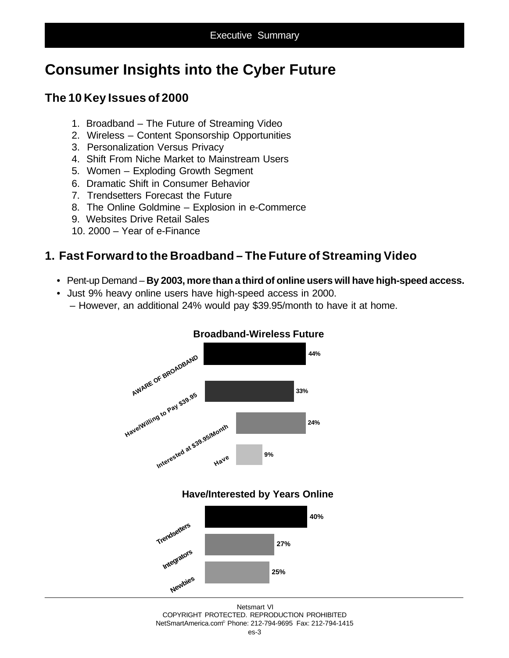# **Consumer Insights into the Cyber Future**

## **The 10 Key Issues of 2000**

- 1. Broadband The Future of Streaming Video
- 2. Wireless Content Sponsorship Opportunities
- 3. Personalization Versus Privacy
- 4. Shift From Niche Market to Mainstream Users
- 5. Women Exploding Growth Segment
- 6. Dramatic Shift in Consumer Behavior
- 7. Trendsetters Forecast the Future
- 8. The Online Goldmine Explosion in e-Commerce
- 9. Websites Drive Retail Sales
- 10. 2000 Year of e-Finance

### **1. Fast Forward to the Broadband – The Future of Streaming Video**

- Pent-up Demand **By 2003, more than a third of online users will have high-speed access.**
- Just 9% heavy online users have high-speed access in 2000.
	- However, an additional 24% would pay \$39.95/month to have it at home.



#### **Broadband-Wireless Future**

#### **Have/Interested by Years Online**

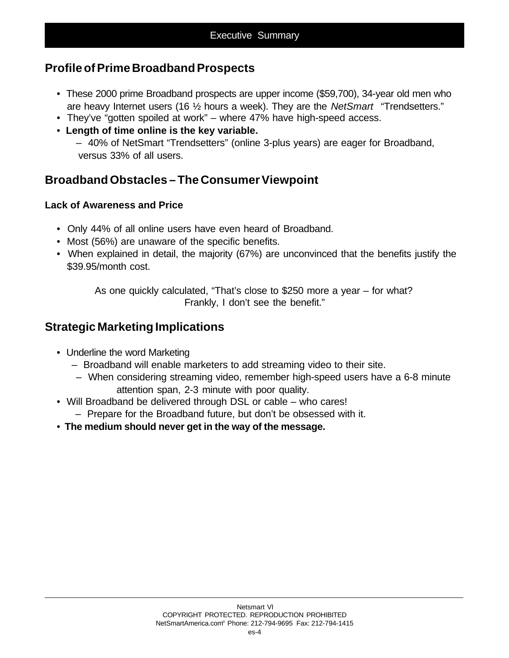### **Profile of Prime Broadband Prospects**

- These 2000 prime Broadband prospects are upper income (\$59,700), 34-year old men who are heavy Internet users (16 ½ hours a week). They are the *NetSmart* "Trendsetters."
- They've "gotten spoiled at work" where 47% have high-speed access.
- • **Length of time online is the key variable.**

 – 40% of NetSmart "Trendsetters" (online 3-plus years) are eager for Broadband, versus 33% of all users.

### **Broadband Obstacles – The Consumer Viewpoint**

#### **Lack of Awareness and Price**

- Only 44% of all online users have even heard of Broadband.
- Most (56%) are unaware of the specific benefits.
- When explained in detail, the majority (67%) are unconvinced that the benefits justify the \$39.95/month cost.

As one quickly calculated, "That's close to \$250 more a year – for what? Frankly, I don't see the benefit."

### **Strategic Marketing Implications**

- Underline the word Marketing
	- Broadband will enable marketers to add streaming video to their site.
	- When considering streaming video, remember high-speed users have a 6-8 minute attention span, 2-3 minute with poor quality.
- Will Broadband be delivered through DSL or cable who cares!
	- Prepare for the Broadband future, but don't be obsessed with it.
- **The medium should never get in the way of the message.**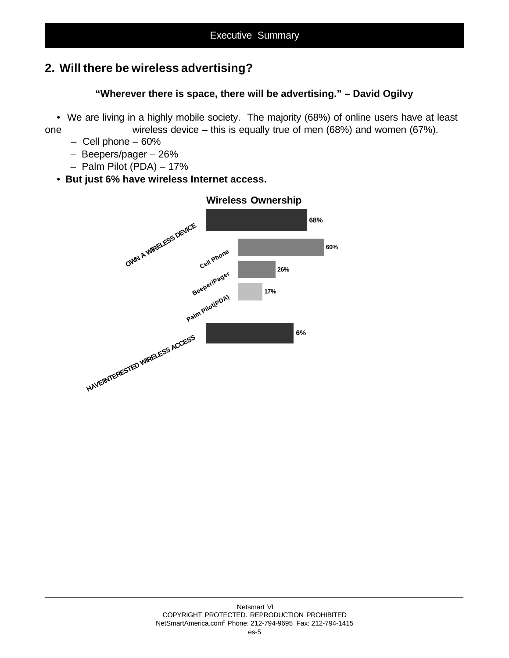## **2. Will there be wireless advertising?**

### **"Wherever there is space, there will be advertising." – David Ogilvy**

• We are living in a highly mobile society. The majority (68%) of online users have at least one wireless device – this is equally true of men (68%) and women (67%).

- Cell phone 60%
- Beepers/pager 26%
- Palm Pilot (PDA) 17%
- **But just 6% have wireless Internet access.**



#### **Wireless Ownership**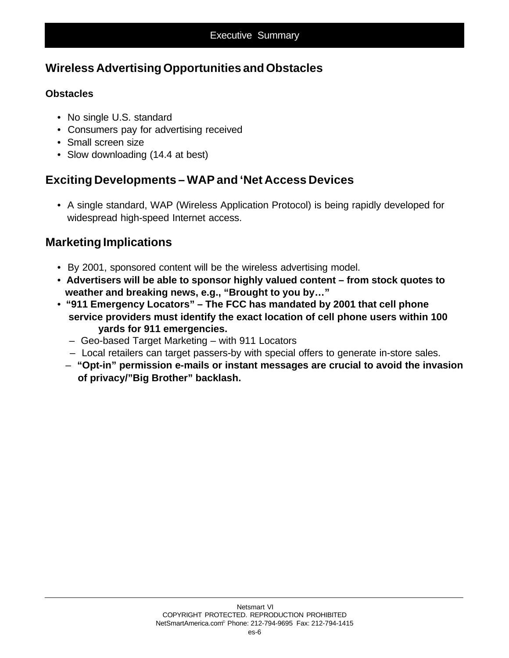## **Wireless Advertising Opportunities and Obstacles**

#### **Obstacles**

- No single U.S. standard
- Consumers pay for advertising received
- Small screen size
- Slow downloading (14.4 at best)

## **Exciting Developments – WAP and 'Net Access Devices**

• A single standard, WAP (Wireless Application Protocol) is being rapidly developed for widespread high-speed Internet access.

## **Marketing Implications**

- By 2001, sponsored content will be the wireless advertising model.
- • **Advertisers will be able to sponsor highly valued content from stock quotes to weather and breaking news, e.g., "Brought to you by…"**
- **"911 Emergency Locators" The FCC has mandated by 2001 that cell phone service providers must identify the exact location of cell phone users within 100 yards for 911 emergencies.**
	- Geo-based Target Marketing with 911 Locators
	- Local retailers can target passers-by with special offers to generate in-store sales.
	- **"Opt-in" permission e-mails or instant messages are crucial to avoid the invasion of privacy/"Big Brother" backlash.**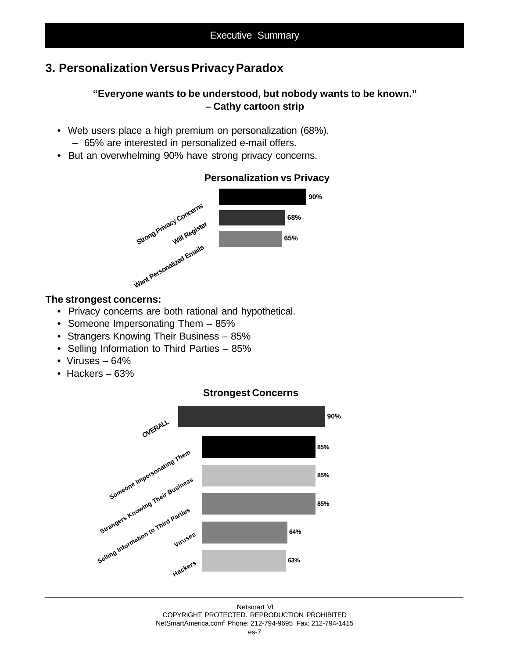### **3. Personalization Versus Privacy Paradox**

#### **"Everyone wants to be understood, but nobody wants to be known." – Cathy cartoon strip**

- Web users place a high premium on personalization (68%).
	- 65% are interested in personalized e-mail offers.
- But an overwhelming 90% have strong privacy concerns.



#### **Personalization vs Privacy**

#### **The strongest concerns:**

- Privacy concerns are both rational and hypothetical.
- Someone Impersonating Them 85%
- Strangers Knowing Their Business 85%
- Selling Information to Third Parties 85%
- Viruses 64%
- Hackers 63%



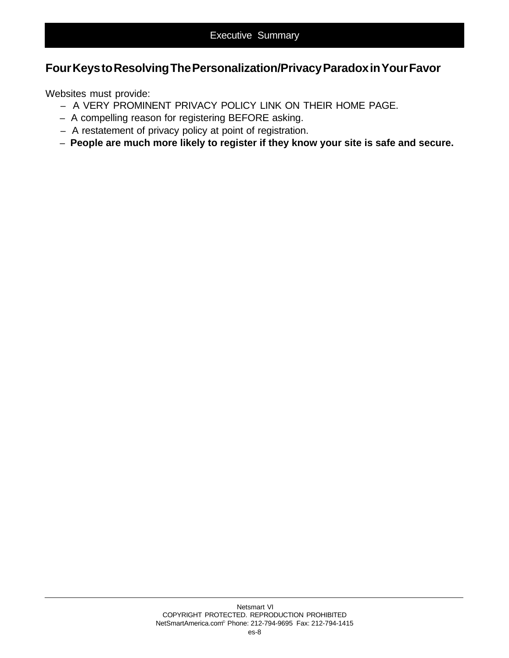### **Four Keys to Resolving The Personalization/Privacy Paradox in Your Favor**

Websites must provide:

- A VERY PROMINENT PRIVACY POLICY LINK ON THEIR HOME PAGE.
- A compelling reason for registering BEFORE asking.
- A restatement of privacy policy at point of registration.
- – **People are much more likely to register if they know your site is safe and secure.**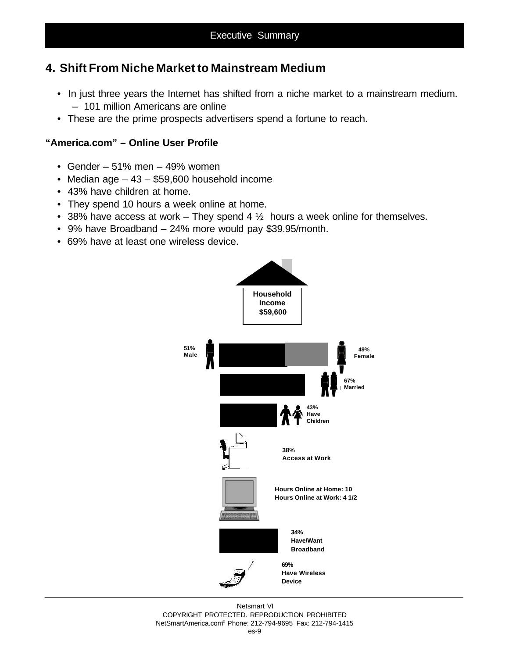### **4. Shift From Niche Market to Mainstream Medium**

- In just three years the Internet has shifted from a niche market to a mainstream medium. – 101 million Americans are online
- These are the prime prospects advertisers spend a fortune to reach.

#### **"America.com" – Online User Profile**

- Gender  $51\%$  men  $49\%$  women
- Median age 43 \$59,600 household income
- 43% have children at home.
- They spend 10 hours a week online at home.
- 38% have access at work They spend 4  $\frac{1}{2}$  hours a week online for themselves.
- 9% have Broadband 24% more would pay \$39.95/month.
- 69% have at least one wireless device.



Netsmart VI COPYRIGHT PROTECTED. REPRODUCTION PROHIBITED NetSmartAmerica.com© Phone: 212-794-9695 Fax: 212-794-1415 es-9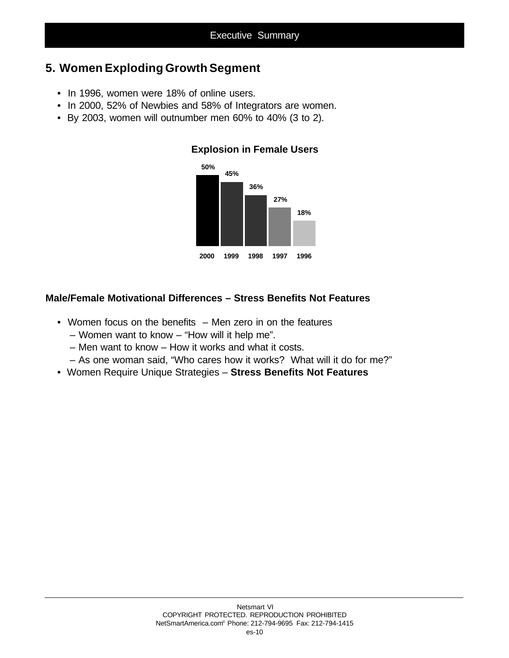### **5. Women Exploding Growth Segment**

- In 1996, women were 18% of online users.
- In 2000, 52% of Newbies and 58% of Integrators are women.
- By 2003, women will outnumber men 60% to 40% (3 to 2).



#### **Explosion in Female Users**

#### **Male/Female Motivational Differences – Stress Benefits Not Features**

- Women focus on the benefits Men zero in on the features
	- Women want to know "How will it help me".
	- Men want to know How it works and what it costs.
	- As one woman said, "Who cares how it works? What will it do for me?"
- Women Require Unique Strategies **Stress Benefits Not Features**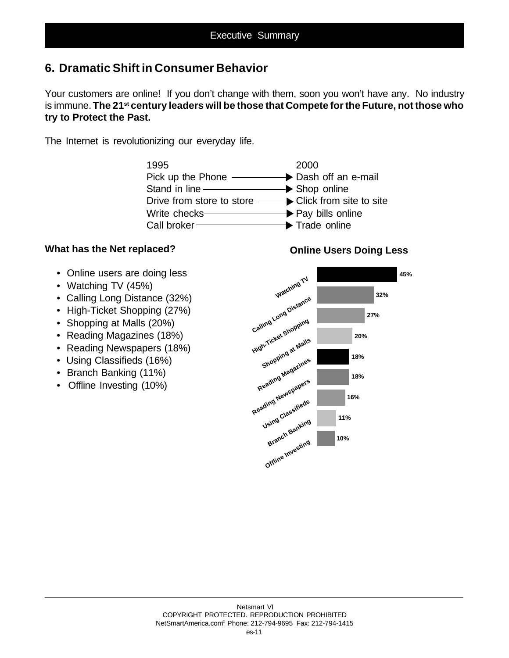### **6. Dramatic Shift in Consumer Behavior**

Your customers are online! If you don't change with them, soon you won't have any. No industry is immune. **The 21st century leaders will be those that Compete for the Future, not those who try to Protect the Past.**

The Internet is revolutionizing our everyday life.



#### **What has the Net replaced?**

- Online users are doing less
- Watching TV (45%)
- Calling Long Distance (32%)
- High-Ticket Shopping (27%)
- Shopping at Malls (20%)
- Reading Magazines (18%)
- Reading Newspapers (18%)
- Using Classifieds (16%)
- Branch Banking (11%)
- Offline Investing (10%)

#### **Online Users Doing Less**

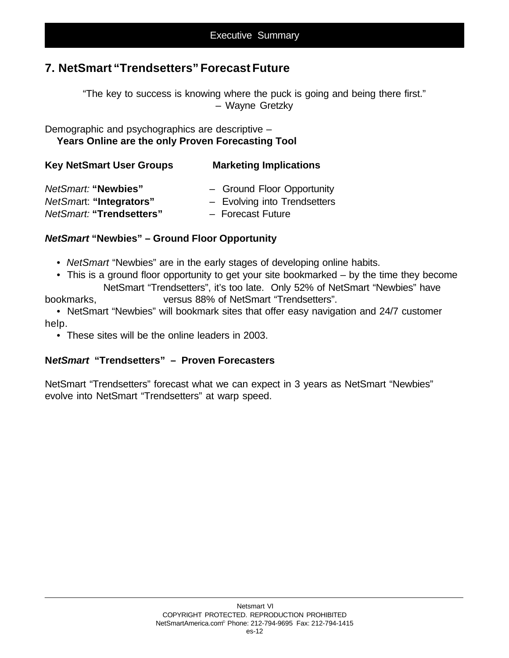### **7. NetSmart "Trendsetters" Forecast Future**

"The key to success is knowing where the puck is going and being there first." – Wayne Gretzky

Demographic and psychographics are descriptive – **Years Online are the only Proven Forecasting Tool**

| <b>Key NetSmart User Groups</b> | <b>Marketing Implications</b> |
|---------------------------------|-------------------------------|
| NetSmart: "Newbies"             | - Ground Floor Opportunity    |
| NetSmart: "Integrators"         | - Evolving into Trendsetters  |
| NetSmart: "Trendsetters"        | - Forecast Future             |

#### *NetSmart* **"Newbies" – Ground Floor Opportunity**

- • *NetSmart* "Newbies" are in the early stages of developing online habits.
- This is a ground floor opportunity to get your site bookmarked by the time they become NetSmart "Trendsetters", it's too late. Only 52% of NetSmart "Newbies" have bookmarks, versus 88% of NetSmart "Trendsetters".
- NetSmart "Newbies" will bookmark sites that offer easy navigation and 24/7 customer help.
	- These sites will be the online leaders in 2003.

#### **N***etSmart* **"Trendsetters" – Proven Forecasters**

NetSmart "Trendsetters" forecast what we can expect in 3 years as NetSmart "Newbies" evolve into NetSmart "Trendsetters" at warp speed.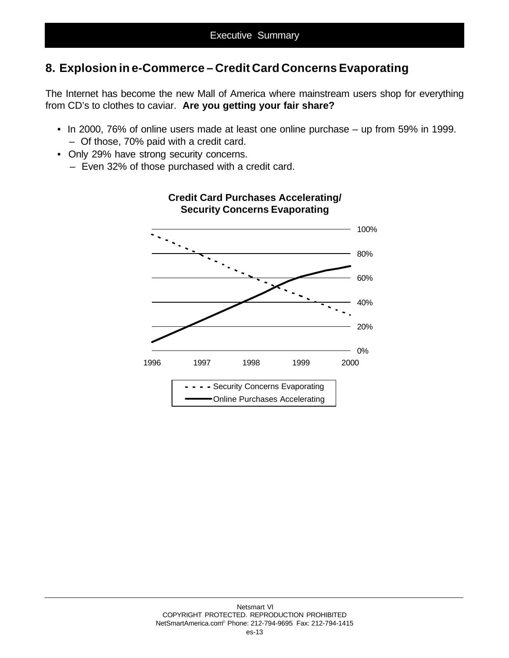## **8. Explosion in e-Commerce – Credit Card Concerns Evaporating**

The Internet has become the new Mall of America where mainstream users shop for everything from CD's to clothes to caviar. **Are you getting your fair share?**

- In 2000, 76% of online users made at least one online purchase up from 59% in 1999. – Of those, 70% paid with a credit card.
- Only 29% have strong security concerns.
	- Even 32% of those purchased with a credit card.



### **Credit Card Purchases Accelerating/ Security Concerns Evaporating**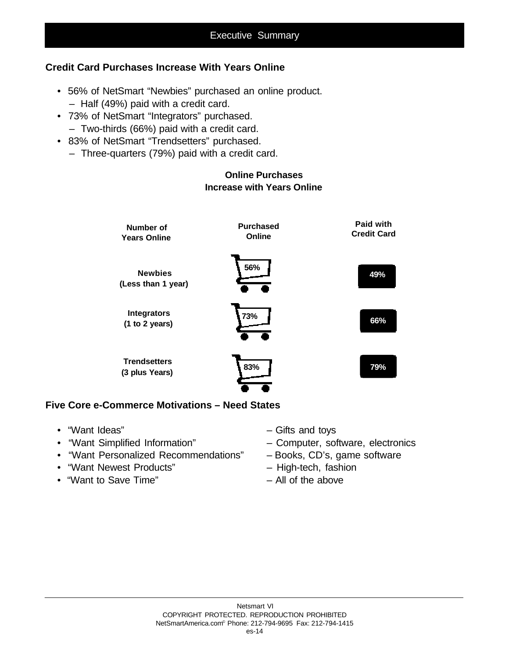#### **Credit Card Purchases Increase With Years Online**

- 56% of NetSmart "Newbies" purchased an online product. – Half (49%) paid with a credit card.
- 73% of NetSmart "Integrators" purchased.
	- Two-thirds (66%) paid with a credit card.
- 83% of NetSmart "Trendsetters" purchased.
	- Three-quarters (79%) paid with a credit card.

#### **Online Purchases Increase with Years Online**



#### **Five Core e-Commerce Motivations – Need States**

- 
- 
- "Want Personalized Recommendations" Books, CD's, game software
- "Want Newest Products" High-tech, fashion
- "Want to Save Time" All of the above
- "Want Ideas" Gifts and toys
- "Want Simplified Information" Computer, software, electronics
	-
	-
	-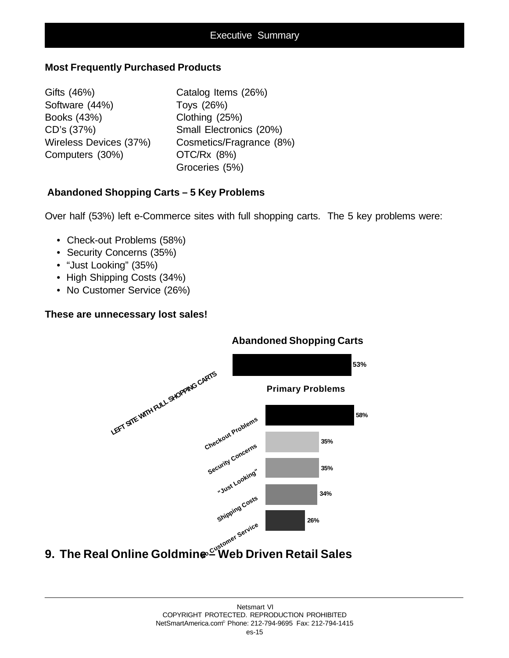#### **Most Frequently Purchased Products**

Gifts (46%) Catalog Items (26%) Software (44%) Toys (26%) Books (43%) Clothing (25%) Computers (30%) OTC/Rx (8%)

CD's (37%) Small Electronics (20%) Wireless Devices (37%) Cosmetics/Fragrance (8%) Groceries (5%)

#### **Abandoned Shopping Carts – 5 Key Problems**

Over half (53%) left e-Commerce sites with full shopping carts. The 5 key problems were:

- Check-out Problems (58%)
- Security Concerns (35%)
- "Just Looking" (35%)
- High Shipping Costs (34%)
- No Customer Service (26%)

#### **These are unnecessary lost sales!**



#### Netsmart VI COPYRIGHT PROTECTED. REPRODUCTION PROHIBITED NetSmartAmerica.com© Phone: 212-794-9695 Fax: 212-794-1415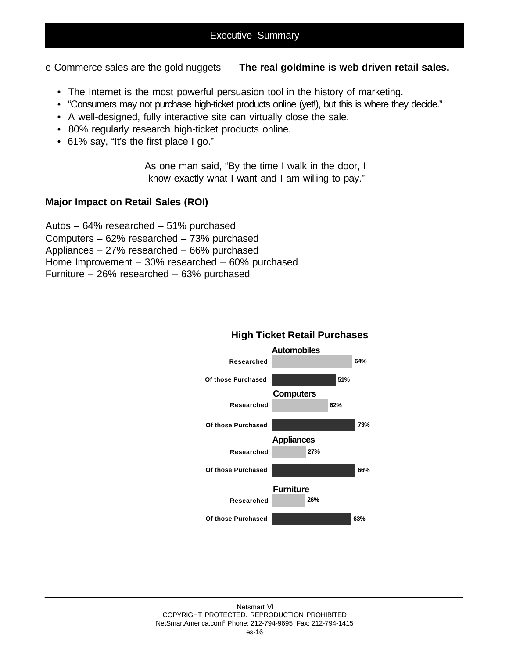e-Commerce sales are the gold nuggets – **The real goldmine is web driven retail sales.**

- The Internet is the most powerful persuasion tool in the history of marketing.
- "Consumers may not purchase high-ticket products online (yet!), but this is where they decide."
- A well-designed, fully interactive site can virtually close the sale.
- 80% regularly research high-ticket products online.
- 61% say, "It's the first place I go."

As one man said, "By the time I walk in the door, I know exactly what I want and I am willing to pay."

#### **Major Impact on Retail Sales (ROI)**

Autos – 64% researched – 51% purchased Computers – 62% researched – 73% purchased Appliances – 27% researched – 66% purchased Home Improvement – 30% researched – 60% purchased Furniture – 26% researched – 63% purchased



#### **High Ticket Retail Purchases**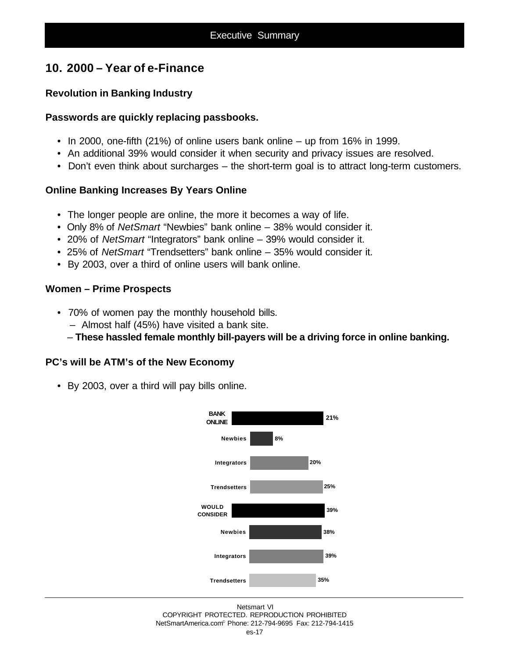### **10. 2000 – Year of e-Finance**

#### **Revolution in Banking Industry**

#### **Passwords are quickly replacing passbooks.**

- In 2000, one-fifth (21%) of online users bank online up from 16% in 1999.
- An additional 39% would consider it when security and privacy issues are resolved.
- Don't even think about surcharges the short-term goal is to attract long-term customers.

#### **Online Banking Increases By Years Online**

- The longer people are online, the more it becomes a way of life.
- Only 8% of *NetSmart* "Newbies" bank online 38% would consider it.
- 20% of *NetSmart* "Integrators" bank online 39% would consider it.
- 25% of *NetSmart* "Trendsetters" bank online 35% would consider it.
- By 2003, over a third of online users will bank online.

#### **Women – Prime Prospects**

- 70% of women pay the monthly household bills.
	- Almost half (45%) have visited a bank site.
	- **These hassled female monthly bill-payers will be a driving force in online banking.**

#### **PC's will be ATM's of the New Economy**

• By 2003, over a third will pay bills online.

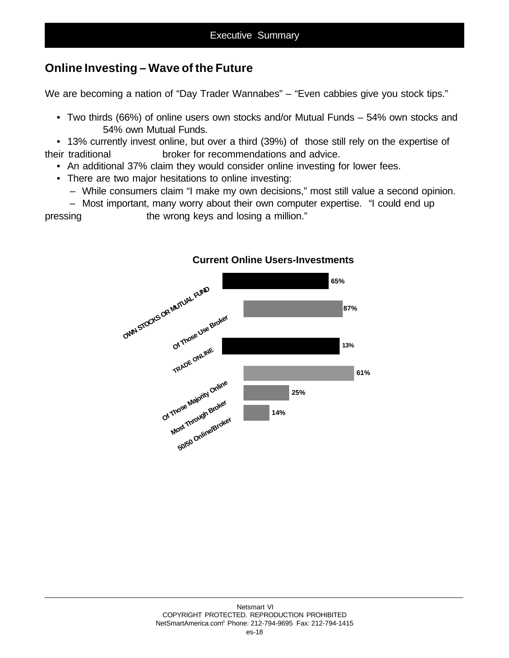### **Online Investing – Wave of the Future**

We are becoming a nation of "Day Trader Wannabes" – "Even cabbies give you stock tips."

• Two thirds (66%) of online users own stocks and/or Mutual Funds – 54% own stocks and 54% own Mutual Funds.

• 13% currently invest online, but over a third (39%) of those still rely on the expertise of their traditional broker for recommendations and advice.

- An additional 37% claim they would consider online investing for lower fees.
- There are two major hesitations to online investing:
	- While consumers claim "I make my own decisions," most still value a second opinion.
	- Most important, many worry about their own computer expertise. "I could end up

pressing the wrong keys and losing a million."



#### **Current Online Users-Investments**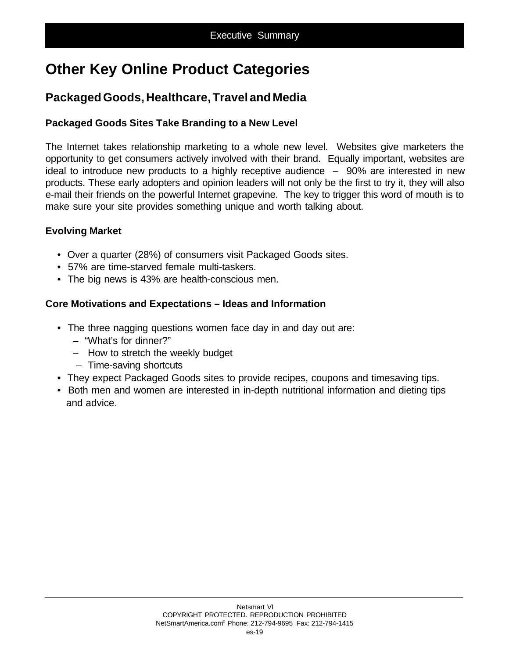# **Other Key Online Product Categories**

## **Packaged Goods, Healthcare, Travel and Media**

#### **Packaged Goods Sites Take Branding to a New Level**

The Internet takes relationship marketing to a whole new level. Websites give marketers the opportunity to get consumers actively involved with their brand. Equally important, websites are ideal to introduce new products to a highly receptive audience  $-$  90% are interested in new products. These early adopters and opinion leaders will not only be the first to try it, they will also e-mail their friends on the powerful Internet grapevine. The key to trigger this word of mouth is to make sure your site provides something unique and worth talking about.

#### **Evolving Market**

- Over a quarter (28%) of consumers visit Packaged Goods sites.
- 57% are time-starved female multi-taskers.
- The big news is 43% are health-conscious men.

#### **Core Motivations and Expectations – Ideas and Information**

- The three nagging questions women face day in and day out are:
	- "What's for dinner?"
	- How to stretch the weekly budget
	- Time-saving shortcuts
- They expect Packaged Goods sites to provide recipes, coupons and timesaving tips.
- Both men and women are interested in in-depth nutritional information and dieting tips and advice.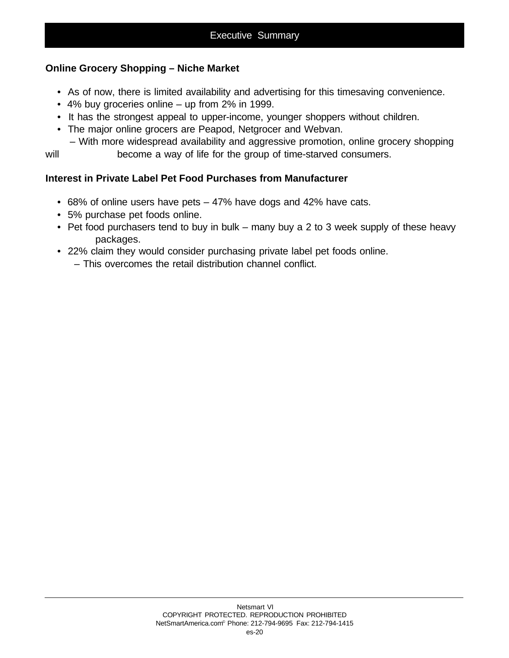#### **Online Grocery Shopping – Niche Market**

- As of now, there is limited availability and advertising for this timesaving convenience.
- 4% buy groceries online up from 2% in 1999.
- It has the strongest appeal to upper-income, younger shoppers without children.
- The major online grocers are Peapod, Netgrocer and Webvan.

 – With more widespread availability and aggressive promotion, online grocery shopping will become a way of life for the group of time-starved consumers.

#### **Interest in Private Label Pet Food Purchases from Manufacturer**

- 68% of online users have pets 47% have dogs and 42% have cats.
- 5% purchase pet foods online.
- Pet food purchasers tend to buy in bulk many buy a 2 to 3 week supply of these heavy packages.
- 22% claim they would consider purchasing private label pet foods online.
	- This overcomes the retail distribution channel conflict.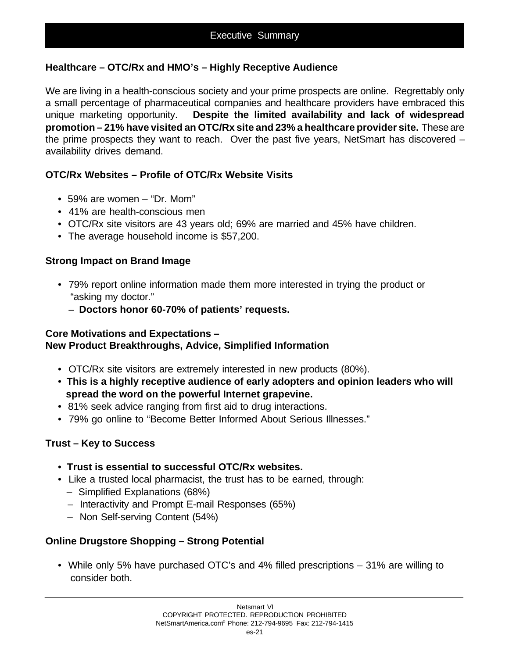#### **Healthcare – OTC/Rx and HMO's – Highly Receptive Audience**

We are living in a health-conscious society and your prime prospects are online. Regrettably only a small percentage of pharmaceutical companies and healthcare providers have embraced this unique marketing opportunity. **Despite the limited availability and lack of widespread promotion – 21% have visited an OTC/Rx site and 23% a healthcare provider site.** These are the prime prospects they want to reach. Over the past five years, NetSmart has discovered – availability drives demand.

#### **OTC/Rx Websites – Profile of OTC/Rx Website Visits**

- 59% are women "Dr. Mom"
- 41% are health-conscious men
- OTC/Rx site visitors are 43 years old; 69% are married and 45% have children.
- The average household income is \$57,200.

#### **Strong Impact on Brand Image**

- 79% report online information made them more interested in trying the product or "asking my doctor."
	- **Doctors honor 60-70% of patients' requests.**

#### **Core Motivations and Expectations –**

#### **New Product Breakthroughs, Advice, Simplified Information**

- OTC/Rx site visitors are extremely interested in new products (80%).
- **This is a highly receptive audience of early adopters and opinion leaders who will spread the word on the powerful Internet grapevine.**
- 81% seek advice ranging from first aid to drug interactions.
- 79% go online to "Become Better Informed About Serious Illnesses."

#### **Trust – Key to Success**

- • **Trust is essential to successful OTC/Rx websites.**
- Like a trusted local pharmacist, the trust has to be earned, through:
	- Simplified Explanations (68%)
	- Interactivity and Prompt E-mail Responses (65%)
	- Non Self-serving Content (54%)

#### **Online Drugstore Shopping – Strong Potential**

• While only 5% have purchased OTC's and 4% filled prescriptions – 31% are willing to consider both.